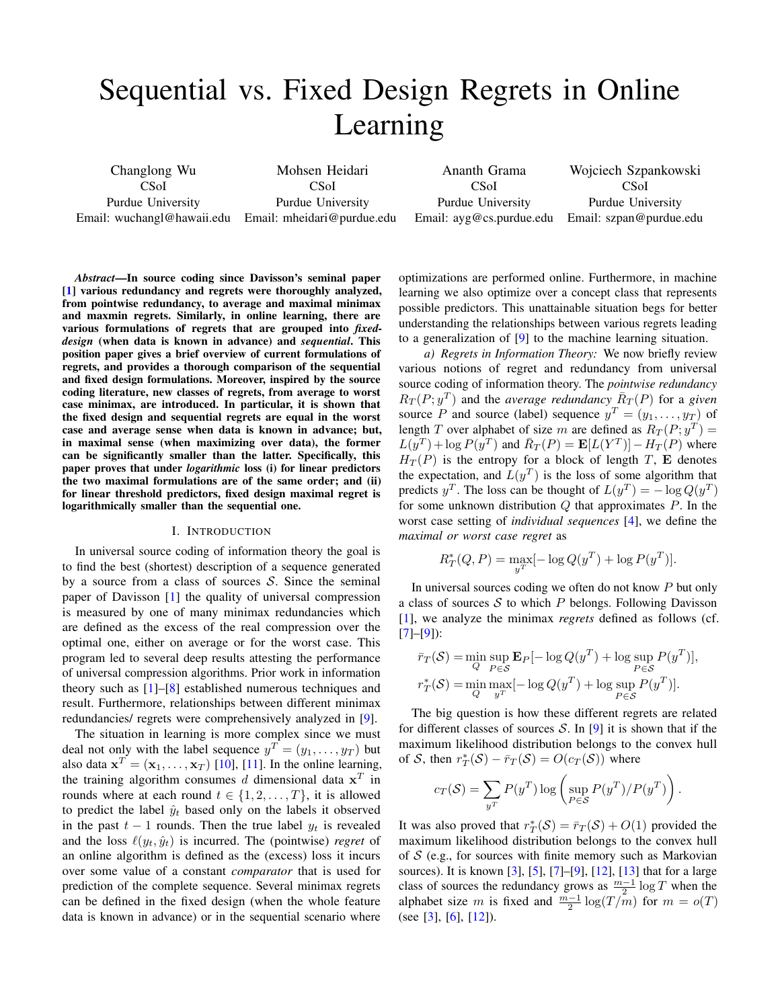# Sequential vs. Fixed Design Regrets in Online Learning

Changlong Wu CSoI Purdue University Email: wuchangl@hawaii.edu

Mohsen Heidari CSoI Purdue University Email: mheidari@purdue.edu

Ananth Grama CSoI Purdue University Email: ayg@cs.purdue.edu

Wojciech Szpankowski CSoI Purdue University Email: szpan@purdue.edu

*Abstract*—In source coding since Davisson's seminal paper [\[1\]](#page-5-0) various redundancy and regrets were thoroughly analyzed, from pointwise redundancy, to average and maximal minimax and maxmin regrets. Similarly, in online learning, there are various formulations of regrets that are grouped into *fixeddesign* (when data is known in advance) and *sequential*. This position paper gives a brief overview of current formulations of regrets, and provides a thorough comparison of the sequential and fixed design formulations. Moreover, inspired by the source coding literature, new classes of regrets, from average to worst case minimax, are introduced. In particular, it is shown that the fixed design and sequential regrets are equal in the worst case and average sense when data is known in advance; but, in maximal sense (when maximizing over data), the former can be significantly smaller than the latter. Specifically, this paper proves that under *logarithmic* loss (i) for linear predictors the two maximal formulations are of the same order; and (ii) for linear threshold predictors, fixed design maximal regret is logarithmically smaller than the sequential one.

### I. INTRODUCTION

In universal source coding of information theory the goal is to find the best (shortest) description of a sequence generated by a source from a class of sources  $S$ . Since the seminal paper of Davisson [\[1\]](#page-5-0) the quality of universal compression is measured by one of many minimax redundancies which are defined as the excess of the real compression over the optimal one, either on average or for the worst case. This program led to several deep results attesting the performance of universal compression algorithms. Prior work in information theory such as [\[1\]](#page-5-0)–[\[8\]](#page-5-1) established numerous techniques and result. Furthermore, relationships between different minimax redundancies/ regrets were comprehensively analyzed in [\[9\]](#page-5-2).

The situation in learning is more complex since we must deal not only with the label sequence  $y^T = (y_1, \dots, y_T)$  but also data  $\mathbf{x}^T = (\mathbf{x}_1, \dots, \mathbf{x}_T)$  [\[10\]](#page-5-3), [\[11\]](#page-5-4). In the online learning, the training algorithm consumes d dimensional data  $x^T$  in rounds where at each round  $t \in \{1, 2, \ldots, T\}$ , it is allowed to predict the label  $\hat{y}_t$  based only on the labels it observed in the past  $t - 1$  rounds. Then the true label  $y_t$  is revealed and the loss  $\ell(y_t, \hat{y}_t)$  is incurred. The (pointwise) *regret* of an online algorithm is defined as the (excess) loss it incurs over some value of a constant *comparator* that is used for prediction of the complete sequence. Several minimax regrets can be defined in the fixed design (when the whole feature data is known in advance) or in the sequential scenario where

optimizations are performed online. Furthermore, in machine learning we also optimize over a concept class that represents possible predictors. This unattainable situation begs for better understanding the relationships between various regrets leading to a generalization of [\[9\]](#page-5-2) to the machine learning situation.

*a) Regrets in Information Theory:* We now briefly review various notions of regret and redundancy from universal source coding of information theory. The *pointwise redundancy*  $R_T(P; y^T)$  and the *average redundancy*  $\overline{R}_T(P)$  for a *given* source P and source (label) sequence  $y^T = (y_1, \ldots, y_T)$  of length T over alphabet of size m are defined as  $R_T(P; y^T) =$  $L(y^T) + \log P(y^T)$  and  $\bar{R}_T(P) = \mathbf{E}[L(Y^T)] - H_T(P)$  where  $H_T(P)$  is the entropy for a block of length T, E denotes the expectation, and  $L(y^T)$  is the loss of some algorithm that predicts  $y^T$ . The loss can be thought of  $L(y^T) = -\log Q(y^T)$ for some unknown distribution  $Q$  that approximates  $P$ . In the worst case setting of *individual sequences* [\[4\]](#page-5-5), we define the *maximal or worst case regret* as

$$
R_T^*(Q, P) = \max_{y^T} [-\log Q(y^T) + \log P(y^T)].
$$

In universal sources coding we often do not know P but only a class of sources  $S$  to which  $P$  belongs. Following Davisson [\[1\]](#page-5-0), we analyze the minimax *regrets* defined as follows (cf.  $[7]–[9]$  $[7]–[9]$  $[7]–[9]$ :

$$
\bar{r}_T(\mathcal{S}) = \min_{Q} \sup_{P \in \mathcal{S}} \mathbf{E}_P[-\log Q(y^T) + \log \sup_{P \in \mathcal{S}} P(y^T)],
$$
  

$$
r_T^*(\mathcal{S}) = \min_{Q} \max_{y^T} [-\log Q(y^T) + \log \sup_{P \in \mathcal{S}} P(y^T)].
$$

The big question is how these different regrets are related for different classes of sources S. In [\[9\]](#page-5-2) it is shown that if the maximum likelihood distribution belongs to the convex hull of S, then  $r_T^*(\mathcal{S}) - \bar{r}_T(\mathcal{S}) = O(c_T(\mathcal{S}))$  where

$$
c_T(\mathcal{S}) = \sum_{y^T} P(y^T) \log \left( \sup_{P \in \mathcal{S}} P(y^T) / P(y^T) \right).
$$

It was also proved that  $r^*_T(S) = \bar{r}_T(S) + O(1)$  provided the maximum likelihood distribution belongs to the convex hull of  $S$  (e.g., for sources with finite memory such as Markovian sources). It is known [\[3\]](#page-5-7), [\[5\]](#page-5-8), [\[7\]](#page-5-6)–[\[9\]](#page-5-2), [\[12\]](#page-5-9), [\[13\]](#page-5-10) that for a large class of sources the redundancy grows as  $\frac{m-1}{2} \log T$  when the alphabet size m is fixed and  $\frac{m-1}{2} \log(T/m)$  for  $m = o(T)$ (see [\[3\]](#page-5-7), [\[6\]](#page-5-11), [\[12\]](#page-5-9)).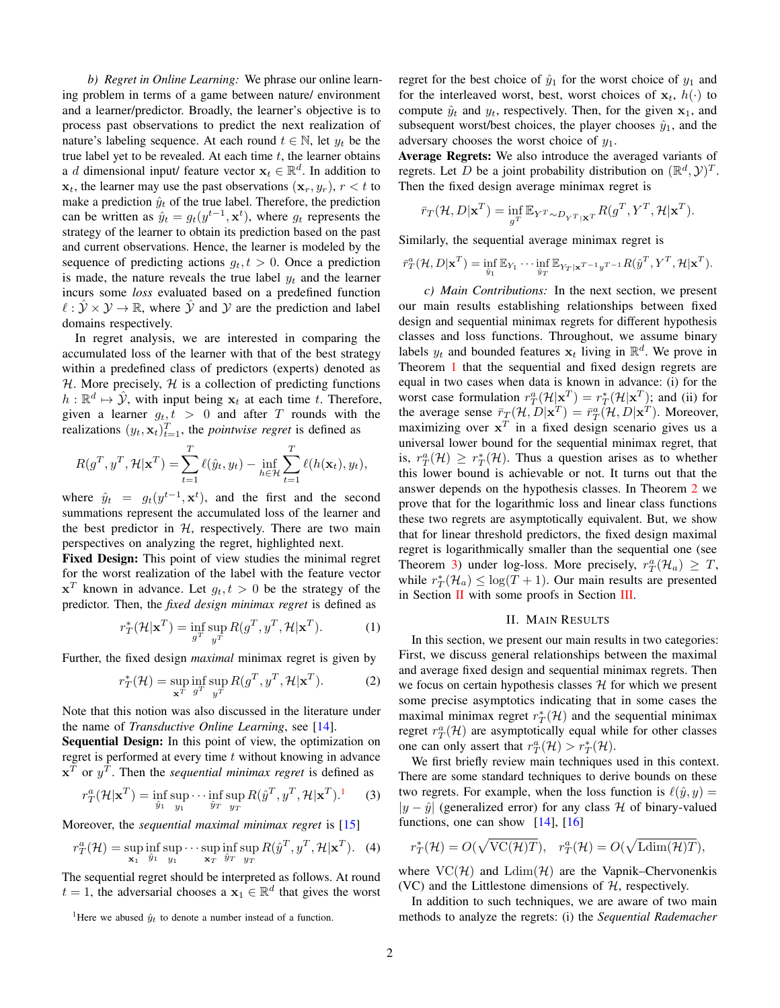*b) Regret in Online Learning:* We phrase our online learning problem in terms of a game between nature/ environment and a learner/predictor. Broadly, the learner's objective is to process past observations to predict the next realization of nature's labeling sequence. At each round  $t \in \mathbb{N}$ , let  $y_t$  be the true label yet to be revealed. At each time  $t$ , the learner obtains a *d* dimensional input/ feature vector  $x_t \in \mathbb{R}^d$ . In addition to  $x_t$ , the learner may use the past observations  $(x_r, y_r)$ ,  $r < t$  to make a prediction  $\hat{y}_t$  of the true label. Therefore, the prediction can be written as  $\hat{y}_t = g_t(y^{t-1}, \mathbf{x}^t)$ , where  $g_t$  represents the strategy of the learner to obtain its prediction based on the past and current observations. Hence, the learner is modeled by the sequence of predicting actions  $q_t, t > 0$ . Once a prediction is made, the nature reveals the true label  $y_t$  and the learner incurs some *loss* evaluated based on a predefined function  $\ell : \mathcal{Y} \times \mathcal{Y} \to \mathbb{R}$ , where  $\mathcal{Y}$  and  $\mathcal{Y}$  are the prediction and label domains respectively.

In regret analysis, we are interested in comparing the accumulated loss of the learner with that of the best strategy within a predefined class of predictors (experts) denoted as  $H$ . More precisely,  $H$  is a collection of predicting functions  $h: \mathbb{R}^d \mapsto \hat{y}$ , with input being  $x_t$  at each time t. Therefore, given a learner  $g_t, t > 0$  and after T rounds with the realizations  $(y_t, \mathbf{x}_t)_{t=1}^T$ , the *pointwise regret* is defined as

$$
R(g^T, y^T, \mathcal{H}|\mathbf{x}^T) = \sum_{t=1}^T \ell(\hat{y}_t, y_t) - \inf_{h \in \mathcal{H}} \sum_{t=1}^T \ell(h(\mathbf{x}_t), y_t),
$$

where  $\hat{y}_t = g_t(y^{t-1}, \mathbf{x}^t)$ , and the first and the second summations represent the accumulated loss of the learner and the best predictor in  $H$ , respectively. There are two main perspectives on analyzing the regret, highlighted next.

Fixed Design: This point of view studies the minimal regret for the worst realization of the label with the feature vector  $x^T$  known in advance. Let  $g_t, t > 0$  be the strategy of the predictor. Then, the *fixed design minimax regret* is defined as

$$
r_T^{\ast}(\mathcal{H}|\mathbf{x}^T) = \inf_{g^T} \sup_{y^T} R(g^T, y^T, \mathcal{H}|\mathbf{x}^T).
$$
 (1)

Further, the fixed design *maximal* minimax regret is given by

$$
r_T^{\ast}(\mathcal{H}) = \sup_{\mathbf{x}^T} \inf_{g^T} \sup_{y^T} R(g^T, y^T, \mathcal{H} | \mathbf{x}^T).
$$
 (2)

Note that this notion was also discussed in the literature under the name of *Transductive Online Learning*, see [\[14\]](#page-5-12).

Sequential Design: In this point of view, the optimization on regret is performed at every time  $t$  without knowing in advance  $x<sup>T</sup>$  or  $y<sup>T</sup>$ . Then the *sequential minimax regret* is defined as

$$
r_T^a(\mathcal{H}|\mathbf{x}^T) = \inf_{\hat{y}_1} \sup_{y_1} \cdots \inf_{\hat{y}_T} \sup_{y_T} R(\hat{y}^T, y^T, \mathcal{H}|\mathbf{x}^T). \tag{3}
$$

Moreover, the *sequential maximal minimax regret* is [\[15\]](#page-5-13)

$$
r_T^a(\mathcal{H}) = \sup_{\mathbf{x}_1} \inf_{\hat{y}_1} \sup_{y_1} \cdots \sup_{\mathbf{x}_T} \inf_{\hat{y}_T} \sup_{y_T} R(\hat{y}^T, y^T, \mathcal{H} | \mathbf{x}^T). \tag{4}
$$

The sequential regret should be interpreted as follows. At round  $t = 1$ , the adversarial chooses a  $x_1 \in \mathbb{R}^d$  that gives the worst

regret for the best choice of  $\hat{y}_1$  for the worst choice of  $y_1$  and for the interleaved worst, best, worst choices of  $x_t$ ,  $h(\cdot)$  to compute  $\hat{y}_t$  and  $y_t$ , respectively. Then, for the given  $x_1$ , and subsequent worst/best choices, the player chooses  $\hat{y}_1$ , and the adversary chooses the worst choice of  $y_1$ .

Average Regrets: We also introduce the averaged variants of regrets. Let  $\overline{D}$  be a joint probability distribution on  $(\mathbb{R}^d, \mathcal{Y})^T$ . Then the fixed design average minimax regret is

$$
\bar{r}_T(\mathcal{H}, D|\mathbf{x}^T) = \inf_{g^T} \mathbb{E}_{Y^T \sim D_{Y^T|\mathbf{X}^T}} R(g^T, Y^T, \mathcal{H}|\mathbf{x}^T).
$$

Similarly, the sequential average minimax regret is

$$
\bar{r}_T^a(\mathcal{H}, D|\mathbf{x}^T) = \inf_{\hat{y}_1} \mathbb{E}_{Y_1} \cdots \inf_{\hat{y}_T} \mathbb{E}_{Y_T|\mathbf{x}^{T-1}y^{T-1}} R(\hat{y}^T, Y^T, \mathcal{H}|\mathbf{x}^T).
$$

*c) Main Contributions:* In the next section, we present our main results establishing relationships between fixed design and sequential minimax regrets for different hypothesis classes and loss functions. Throughout, we assume binary labels  $y_t$  and bounded features  $\mathbf{x}_t$  living in  $\mathbb{R}^d$ . We prove in Theorem [1](#page-2-0) that the sequential and fixed design regrets are equal in two cases when data is known in advance: (i) for the worst case formulation  $r_T^a(\mathcal{H}|\mathbf{x}^T) = r_T^*(\mathcal{H}|\mathbf{x}^T)$ ; and (ii) for the average sense  $\bar{r}_{T}(\mathcal{H}, D | \mathbf{x}^{T}) = \bar{r}_{T}^{a}(\mathcal{H}, D | \mathbf{x}^{T})$ . Moreover, maximizing over  $x^T$  in a fixed design scenario gives us a universal lower bound for the sequential minimax regret, that is,  $r_T^a(\mathcal{H}) \geq r_T^*(\mathcal{H})$ . Thus a question arises as to whether this lower bound is achievable or not. It turns out that the answer depends on the hypothesis classes. In Theorem [2](#page-2-1) we prove that for the logarithmic loss and linear class functions these two regrets are asymptotically equivalent. But, we show that for linear threshold predictors, the fixed design maximal regret is logarithmically smaller than the sequential one (see Theorem [3\)](#page-2-2) under log-loss. More precisely,  $r_T^a(\mathcal{H}_a) \geq T$ , while  $r^* \uparrow \uparrow \uparrow \downarrow$   $\leq \log(T+1)$ . Our main results are presented in Section [II](#page-1-1) with some proofs in Section [III.](#page-2-3)

#### II. MAIN RESULTS

<span id="page-1-1"></span>In this section, we present our main results in two categories: First, we discuss general relationships between the maximal and average fixed design and sequential minimax regrets. Then we focus on certain hypothesis classes  $H$  for which we present some precise asymptotics indicating that in some cases the maximal minimax regret  $r_T^*(\mathcal{H})$  and the sequential minimax regret  $r_T^a(\mathcal{H})$  are asymptotically equal while for other classes one can only assert that  $r_T^a(\mathcal{H}) > r_T^*(\mathcal{H})$ .

We first briefly review main techniques used in this context. There are some standard techniques to derive bounds on these two regrets. For example, when the loss function is  $\ell(\hat{y}, y) =$  $|y - \hat{y}|$  (generalized error) for any class H of binary-valued functions, one can show  $[14]$ ,  $[16]$ 

$$
r_T^*(\mathcal{H}) = O(\sqrt{\text{VC}(\mathcal{H})T}), \quad r_T^a(\mathcal{H}) = O(\sqrt{\text{Ldim}(\mathcal{H})T}),
$$

where  $VC(\mathcal{H})$  and  $Ldim(\mathcal{H})$  are the Vapnik–Chervonenkis (VC) and the Littlestone dimensions of  $H$ , respectively.

In addition to such techniques, we are aware of two main methods to analyze the regrets: (i) the *Sequential Rademacher*

<span id="page-1-0"></span><sup>&</sup>lt;sup>1</sup>Here we abused  $\hat{y}_t$  to denote a number instead of a function.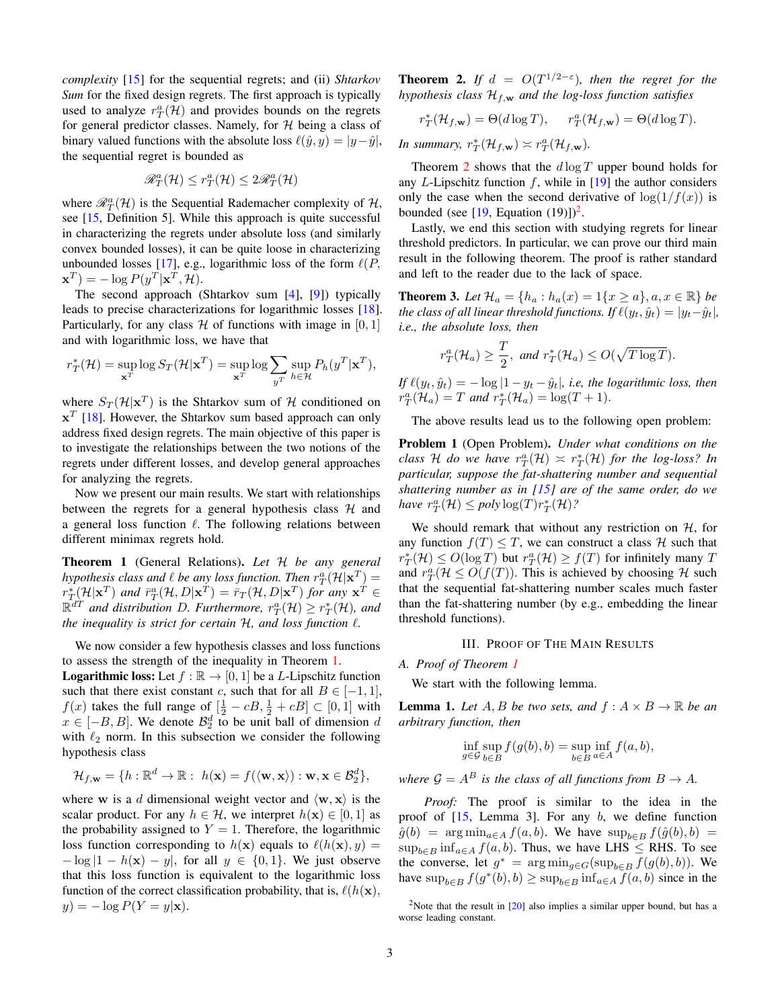*complexity* [\[15\]](#page-5-13) for the sequential regrets; and (ii) *Shtarkov Sum* for the fixed design regrets. The first approach is typically used to analyze  $r_T^a(\mathcal{H})$  and provides bounds on the regrets for general predictor classes. Namely, for  $H$  being a class of binary valued functions with the absolute loss  $\ell(\hat{y}, y) = |y - \hat{y}|$ , the sequential regret is bounded as

$$
\mathcal{R}_T^a(\mathcal{H}) \le r_T^a(\mathcal{H}) \le 2\mathcal{R}_T^a(\mathcal{H})
$$

where  $\mathcal{R}_T^a(\mathcal{H})$  is the Sequential Rademacher complexity of  $\mathcal{H}$ , see [\[15,](#page-5-13) Definition 5]. While this approach is quite successful in characterizing the regrets under absolute loss (and similarly convex bounded losses), it can be quite loose in characterizing unbounded losses [\[17\]](#page-5-15), e.g., logarithmic loss of the form  $\ell(P,$  $\mathbf{x}^T$ ) =  $-\log P(y^T|\mathbf{x}^T, \mathcal{H}).$ 

The second approach (Shtarkov sum [\[4\]](#page-5-5), [\[9\]](#page-5-2)) typically leads to precise characterizations for logarithmic losses [\[18\]](#page-5-16). Particularly, for any class  $H$  of functions with image in [0, 1] and with logarithmic loss, we have that

$$
r_T^{\ast}(\mathcal{H}) = \sup_{\mathbf{x}^T} \log S_T(\mathcal{H}|\mathbf{x}^T) = \sup_{\mathbf{x}^T} \log \sum_{y^T} \sup_{h \in \mathcal{H}} P_h(y^T|\mathbf{x}^T),
$$

where  $S_T(\mathcal{H}|\mathbf{x}^T)$  is the Shtarkov sum of H conditioned on  $\mathbf{x}^T$  [\[18\]](#page-5-16). However, the Shtarkov sum based approach can only address fixed design regrets. The main objective of this paper is to investigate the relationships between the two notions of the regrets under different losses, and develop general approaches for analyzing the regrets.

Now we present our main results. We start with relationships between the regrets for a general hypothesis class  $H$  and a general loss function  $\ell$ . The following relations between different minimax regrets hold.

<span id="page-2-0"></span>Theorem 1 (General Relations). *Let* H *be any general hypothesis class and*  $\ell$  *be any loss function. Then*  $r_T^a(\mathcal{H}|\mathbf{x}^T)$  =  $r_T^*(\mathcal{H}|{\bf x}^T)$  and  $\bar{r}_T^a(\mathcal{H}, D|{\bf x}^T) = \bar{r}_T(\mathcal{H}, D|{\bf x}^T)$  for any  ${\bf x}^T \in$  $\mathbb{R}^{dT}$  and distribution D. Furthermore,  $r_T^a(\mathcal{H}) \geq r_T^*(\mathcal{H})$ , and *the inequality is strict for certain* H*, and loss function* ℓ*.*

We now consider a few hypothesis classes and loss functions to assess the strength of the inequality in Theorem [1.](#page-2-0)

**Logarithmic loss:** Let  $f : \mathbb{R} \to [0, 1]$  be a *L*-Lipschitz function such that there exist constant c, such that for all  $B \in [-1, 1]$ ,  $f(x)$  takes the full range of  $\left[\frac{1}{2} - cB, \frac{1}{2} + cB\right] \subset [0, 1]$  with  $x \in [-B, B]$ . We denote  $\mathcal{B}_2^d$  to be unit ball of dimension d with  $\ell_2$  norm. In this subsection we consider the following hypothesis class

$$
\mathcal{H}_{f,\mathbf{w}} = \{h : \mathbb{R}^d \to \mathbb{R} : h(\mathbf{x}) = f(\langle \mathbf{w}, \mathbf{x} \rangle) : \mathbf{w}, \mathbf{x} \in \mathcal{B}_2^d\},
$$

where w is a d dimensional weight vector and  $\langle w, x \rangle$  is the scalar product. For any  $h \in \mathcal{H}$ , we interpret  $h(\mathbf{x}) \in [0, 1]$  as the probability assigned to  $Y = 1$ . Therefore, the logarithmic loss function corresponding to  $h(\mathbf{x})$  equals to  $\ell(h(\mathbf{x}), y) =$  $-\log|1 - h(\mathbf{x}) - y|$ , for all  $y \in \{0, 1\}$ . We just observe that this loss function is equivalent to the logarithmic loss function of the correct classification probability, that is,  $\ell(h(\mathbf{x}))$ ,  $y$ ) =  $-\log P(Y = y|\mathbf{x})$ .

<span id="page-2-1"></span>**Theorem 2.** If  $d = O(T^{1/2-\epsilon})$ , then the regret for the *hypothesis class*  $\mathcal{H}_{f,\mathbf{w}}$  *and the log-loss function satisfies* 

$$
r_T^*(\mathcal{H}_{f,\mathbf{w}}) = \Theta(d \log T), \quad r_T^a(\mathcal{H}_{f,\mathbf{w}}) = \Theta(d \log T).
$$

*In summary,*  $r_T^*(\mathcal{H}_{f,\mathbf{w}}) \asymp r_T^a(\mathcal{H}_{f,\mathbf{w}})$ *.* 

Theorem [2](#page-2-1) shows that the  $d \log T$  upper bound holds for any L-Lipschitz function  $f$ , while in [\[19\]](#page-5-17) the author considers only the case when the second derivative of  $\log(1/f(x))$  is bounded (see  $[19,$  Equation  $(19)]$ )<sup>[2](#page-2-4)</sup>.

Lastly, we end this section with studying regrets for linear threshold predictors. In particular, we can prove our third main result in the following theorem. The proof is rather standard and left to the reader due to the lack of space.

<span id="page-2-2"></span>**Theorem 3.** Let  $\mathcal{H}_a = \{h_a : h_a(x) = 1\{x \ge a\}, a, x \in \mathbb{R}\}\$  be *the class of all linear threshold functions. If*  $\ell(y_t, \hat{y}_t) = |y_t - \hat{y}_t|$ *, i.e., the absolute loss, then*

$$
r_T^a(\mathcal{H}_a) \ge \frac{T}{2}
$$
, and  $r_T^*(\mathcal{H}_a) \le O(\sqrt{T \log T})$ .

*If*  $\ell(y_t, \hat{y}_t) = -\log|1-y_t - \hat{y}_t|$ , *i.e., the logarithmic loss, then*  $r_T^a(\mathcal{H}_a) = T$  and  $r_T^*(\mathcal{H}_a) = \log(T+1)$ .

The above results lead us to the following open problem:

Problem 1 (Open Problem). *Under what conditions on the class*  $H$  *do we have*  $r_T^a(\mathcal{H}) \asymp r_T^*(\mathcal{H})$  *for the log-loss?* In *particular, suppose the fat-shattering number and sequential shattering number as in [\[15\]](#page-5-13) are of the same order, do we have*  $r_T^a(\mathcal{H}) \leq poly\log(T)r_T^*(\mathcal{H})$ ?

We should remark that without any restriction on  $H$ , for any function  $f(T) \leq T$ , we can construct a class H such that  $r^*_T(\mathcal{H}) \leq O(\log T)$  but  $r^a_T(\mathcal{H}) \geq f(T)$  for infinitely many T and  $r_T^a(\mathcal{H} \leq O(f(T))$ . This is achieved by choosing  $\mathcal{H}$  such that the sequential fat-shattering number scales much faster than the fat-shattering number (by e.g., embedding the linear threshold functions).

### III. PROOF OF THE MAIN RESULTS

#### <span id="page-2-3"></span>*A. Proof of Theorem [1](#page-2-0)*

We start with the following lemma.

**Lemma 1.** Let  $A, B$  be two sets, and  $f : A \times B \to \mathbb{R}$  be an *arbitrary function, then*

$$
\inf_{g \in \mathcal{G}} \sup_{b \in B} f(g(b), b) = \sup_{b \in B} \inf_{a \in A} f(a, b),
$$

*where*  $G = A^B$  *is the class of all functions from*  $B \to A$ *.* 

*Proof:* The proof is similar to the idea in the proof of  $[15,$  Lemma 3]. For any  $b$ , we define function  $\hat{g}(b) = \arg \min_{a \in A} f(a, b)$ . We have  $\sup_{b \in B} f(\hat{g}(b), b) =$  $\sup_{b \in B} \inf_{a \in A} f(a, b)$ . Thus, we have LHS  $\le$  RHS. To see the converse, let  $g^* = \arg \min_{g \in G} (\sup_{b \in B} f(g(b), b))$ . We have  $\sup_{b \in B} f(g^*(b), b) \ge \sup_{b \in B} \inf_{a \in A} f(a, b)$  since in the

<span id="page-2-4"></span><sup>&</sup>lt;sup>2</sup>Note that the result in  $[20]$  also implies a similar upper bound, but has a worse leading constant.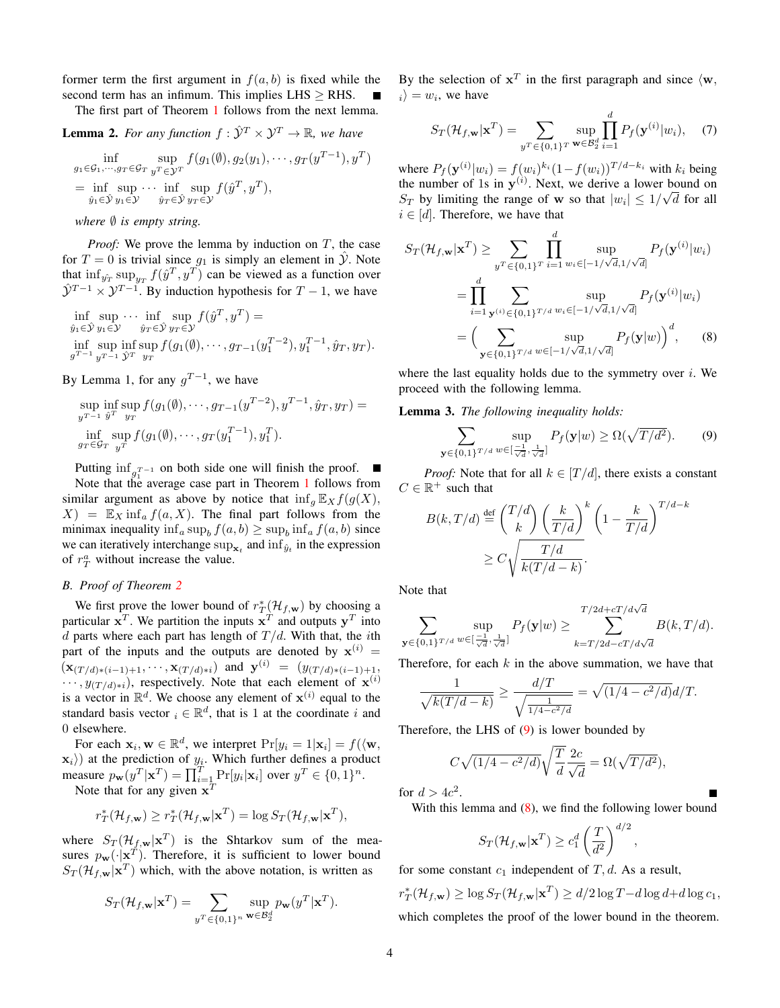former term the first argument in  $f(a, b)$  is fixed while the second term has an infimum. This implies LHS  $\geq$  RHS.

The first part of Theorem [1](#page-2-0) follows from the next lemma.

# **Lemma 2.** For any function  $f : \hat{Y}^T \times \hat{Y}^T \to \mathbb{R}$ , we have

$$
\inf_{g_1 \in \mathcal{G}_1, \dots, g_T \in \mathcal{G}_T} \sup_{y^T \in \mathcal{Y}^T} f(g_1(\emptyset), g_2(y_1), \dots, g_T(y^{T-1}), y^T)
$$
\n
$$
= \inf_{\hat{y}_1 \in \hat{\mathcal{Y}}} \sup_{y_1 \in \hat{\mathcal{Y}}} \dots \inf_{\hat{y}_T \in \hat{\mathcal{Y}}} \sup_{y_T \in \hat{\mathcal{Y}}} f(\hat{y}^T, y^T),
$$

*where ≬ is empty string.* 

*Proof:* We prove the lemma by induction on T, the case for  $T = 0$  is trivial since  $q_1$  is simply an element in  $\hat{y}$ . Note that  $\inf_{\hat{y}_T} \sup_{y_T} f(\hat{y}^T, y^T)$  can be viewed as a function over  $\hat{\mathcal{Y}}^{T-1} \times \hat{\mathcal{Y}}^{T-1}$ . By induction hypothesis for  $T-1$ , we have

$$
\inf_{\hat{y}_1 \in \hat{\mathcal{Y}}}\sup_{y_1 \in \mathcal{Y}} \dots \inf_{\hat{y}_T \in \hat{\mathcal{Y}}}\sup_{y_T \in \mathcal{Y}} f(\hat{y}^T, y^T) = \inf_{y^T - 1} \sup_{y^T - 1} \inf_{\hat{y}^T} \sup_{y_T} f(g_1(\emptyset), \dots, g_{T-1}(y_1^{T-2}), y_1^{T-1}, \hat{y}_T, y_T).
$$

By Lemma 1, for any  $g^{T-1}$ , we have

$$
\sup_{y^{T-1}} \inf_{\hat{y}^{T}} \sup_{y_{T}} f(g_1(\emptyset), \cdots, g_{T-1}(y^{T-2}), y^{T-1}, \hat{y}_{T}, y_{T}) = \inf_{g_{T} \in \mathcal{G}_{T}} \sup_{y^{T}} f(g_1(\emptyset), \cdots, g_{T}(y_1^{T-1}), y_1^{T}).
$$

Putting  $\inf_{g_1^{-1}}$  on both side one will finish the proof.

Note that the average case part in Theorem [1](#page-2-0) follows from similar argument as above by notice that  $\inf_{g} \mathbb{E}_X f(g(X))$ ,  $X$ ) =  $\mathbb{E}_X$  inf<sub>a</sub>  $f(a, X)$ . The final part follows from the minimax inequality  $\inf_a \sup_b f(a, b) \ge \sup_b \inf_a f(a, b)$  since we can iteratively interchange  $\sup_{\mathbf{x}_t}$  and  $\inf_{\hat{y}_t}$  in the expression of  $r_T^a$  without increase the value.

## *B. Proof of Theorem [2](#page-2-1)*

We first prove the lower bound of  $r^*_{T}(\mathcal{H}_{f,\mathbf{w}})$  by choosing a particular  $x^T$ . We partition the inputs  $x^T$  and outputs  $y^T$  into d parts where each part has length of  $T/d$ . With that, the *i*th part of the inputs and the outputs are denoted by  $x^{(i)} =$  $(\mathbf{x}_{(T/d)*(i-1)+1}, \cdots, \mathbf{x}_{(T/d)*i})$  and  $\mathbf{y}^{(i)} = (y_{(T/d)*(i-1)+1}, \cdots, \mathbf{x}_{(T/d)*i})$  $\cdots$ ,  $y_{(T/d)*i}$ ), respectively. Note that each element of  $\mathbf{x}^{(i)}$ is a vector in  $\mathbb{R}^d$ . We choose any element of  $x^{(i)}$  equal to the standard basis vector  $i \in \mathbb{R}^d$ , that is 1 at the coordinate i and 0 elsewhere.

For each  $\mathbf{x}_i, \mathbf{w} \in \mathbb{R}^d$ , we interpret  $Pr[y_i = 1 | \mathbf{x}_i] = f(\langle \mathbf{w}, \mathbf{w} \rangle)$  $|\mathbf{x}_i\rangle$  at the prediction of  $y_i$ . Which further defines a product measure  $p_{\mathbf{w}}(y^T|\mathbf{x}^T) = \prod_{i=1}^T \Pr[y_i|\mathbf{x}_i]$  over  $y^T \in \{0, 1\}^n$ . Note that for any given  $x^T$ 

$$
r_T^{\ast}(\mathcal{H}_{f,\mathbf{w}}) \ge r_T^{\ast}(\mathcal{H}_{f,\mathbf{w}}|\mathbf{x}^T) = \log S_T(\mathcal{H}_{f,\mathbf{w}}|\mathbf{x}^T),
$$

where  $S_T(\mathcal{H}_{f,\mathbf{w}}|\mathbf{x}^T)$  is the Shtarkov sum of the measures  $p_{\mathbf{w}}(\cdot|\mathbf{x}^T)$ . Therefore, it is sufficient to lower bound  $S_T(\mathcal{H}_{f,\mathbf{w}}|\mathbf{x}^T)$  which, with the above notation, is written as

$$
S_T(\mathcal{H}_{f,\mathbf{w}}|\mathbf{x}^T) = \sum_{y^T \in \{0,1\}^n} \sup_{\mathbf{w} \in \mathcal{B}_2^d} p_{\mathbf{w}}(y^T|\mathbf{x}^T).
$$

By the selection of  $x^T$  in the first paragraph and since  $\langle w, \rangle$  $\langle i \rangle = w_i$ , we have

<span id="page-3-1"></span>
$$
S_T(\mathcal{H}_{f,\mathbf{w}}|\mathbf{x}^T) = \sum_{y^T \in \{0,1\}^T} \sup_{\mathbf{w} \in \mathcal{B}_2^d} \prod_{i=1}^d P_f(\mathbf{y}^{(i)}|w_i), \quad (7)
$$

where  $P_f(\mathbf{y}^{(i)}|w_i) = f(w_i)^{k_i} (1 - f(w_i))^{T/d - k_i}$  with  $k_i$  being the number of 1s in  $y^{(i)}$ . Next, we derive a lower bound on  $S_T$  by limiting the range of w so that  $|w_i| \leq 1/\sqrt{d}$  for all  $i \in [d]$ . Therefore, we have that

$$
S_T(\mathcal{H}_{f,\mathbf{w}}|\mathbf{x}^T) \ge \sum_{y^T \in \{0,1\}^T} \prod_{i=1}^d \sup_{w_i \in [-1/\sqrt{d}, 1/\sqrt{d}]} P_f(\mathbf{y}^{(i)}|w_i)
$$
  
= 
$$
\prod_{i=1}^d \sum_{\mathbf{y}^{(i)} \in \{0,1\}^{T/d}} \sup_{w_i \in [-1/\sqrt{d}, 1/\sqrt{d}]} P_f(\mathbf{y}^{(i)}|w_i)
$$
  
= 
$$
\Big(\sum_{\mathbf{y} \in \{0,1\}^{T/d}} \sup_{w \in [-1/\sqrt{d}, 1/\sqrt{d}]} P_f(\mathbf{y}|w)\Big)^d,
$$
 (8)

where the last equality holds due to the symmetry over  $i$ . We proceed with the following lemma.

Lemma 3. *The following inequality holds:*

<span id="page-3-0"></span>
$$
\sum_{\mathbf{y} \in \{0,1\}^{T/d}} \sup_{w \in [\frac{-1}{\sqrt{d}}, \frac{1}{\sqrt{d}}]} P_f(\mathbf{y}|w) \ge \Omega(\sqrt{T/d^2}).\tag{9}
$$

*Proof:* Note that for all  $k \in [T/d]$ , there exists a constant  $C \in \mathbb{R}^+$  such that

$$
B(k, T/d) \stackrel{\text{def}}{=} \binom{T/d}{k} \left(\frac{k}{T/d}\right)^k \left(1 - \frac{k}{T/d}\right)^{T/d - k}
$$

$$
\geq C \sqrt{\frac{T/d}{k(T/d - k)}}.
$$

Note that

$$
\sum_{\mathbf{y}\in\{0,1\}^{T/d}}\sup_{w\in[\frac{-1}{\sqrt{d}},\frac{1}{\sqrt{d}}]}P_f(\mathbf{y}|w) \ge \sum_{k=T/2d-cT/d\sqrt{d}}^{T/2d+cT/d\sqrt{d}}B(k,T/d).
$$

Therefore, for each  $k$  in the above summation, we have that

$$
\frac{1}{\sqrt{k(T/d-k)}} \ge \frac{d/T}{\sqrt{\frac{1}{1/4-c^2/d}}} = \sqrt{(1/4-c^2/d)}d/T.
$$

Therefore, the LHS of [\(9\)](#page-3-0) is lower bounded by

$$
C\sqrt{(1/4-c^2/d)}\sqrt{\frac{T}{d}}\frac{2c}{\sqrt{d}} = \Omega(\sqrt{T/d^2}),
$$

for  $d > 4c^2$ .

With this lemma and  $(8)$ , we find the following lower bound

,

$$
S_T(\mathcal{H}_{f,\mathbf{w}}|\mathbf{x}^T) \ge c_1^d \left(\frac{T}{d^2}\right)^{d/2}
$$

for some constant  $c_1$  independent of  $T, d$ . As a result,

 $r^*_{T}(\mathcal{H}_{f,\mathbf{w}}) \ge \log S_T(\mathcal{H}_{f,\mathbf{w}}|\mathbf{x}^T) \ge d/2\log T - d\log d + d\log c_1,$ which completes the proof of the lower bound in the theorem.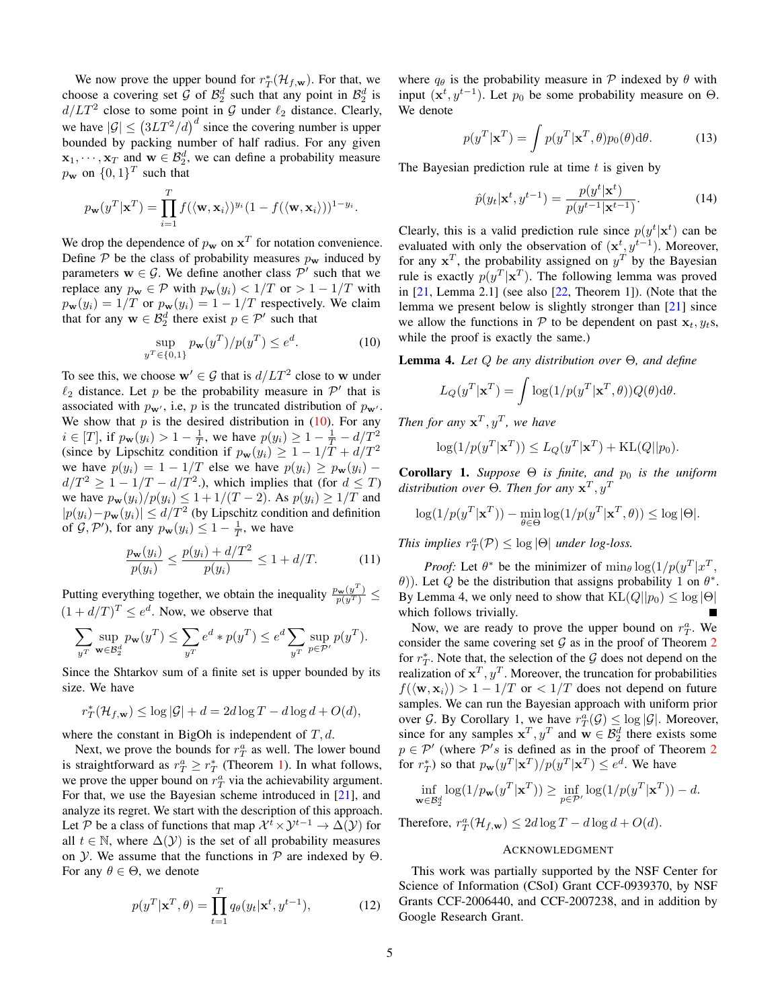We now prove the upper bound for  $r_T^*(\mathcal{H}_{f,\mathbf{w}})$ . For that, we choose a covering set G of  $\mathcal{B}_2^d$  such that any point in  $\mathcal{B}_2^d$  is  $d/LT^2$  close to some point in G under  $\ell_2$  distance. Clearly, we have  $|\mathcal{G}| \le (3LT^2/d)^d$  since the covering number is upper bounded by packing number of half radius. For any given  $x_1, \dots, x_T$  and  $w \in \mathcal{B}_2^d$ , we can define a probability measure  $p_{\mathbf{w}}$  on  $\{0,1\}^T$  such that

$$
p_{\mathbf{w}}(y^T|\mathbf{x}^T) = \prod_{i=1}^T f(\langle \mathbf{w}, \mathbf{x}_i \rangle)^{y_i} (1 - f(\langle \mathbf{w}, \mathbf{x}_i \rangle))^{1 - y_i}.
$$

We drop the dependence of  $p_w$  on  $x^T$  for notation convenience. Define  $P$  be the class of probability measures  $p_w$  induced by parameters  $w \in \mathcal{G}$ . We define another class  $\mathcal{P}'$  such that we replace any  $p_w \in \mathcal{P}$  with  $p_w(y_i) < 1/T$  or  $> 1 - 1/T$  with  $p_{\mathbf{w}}(y_i) = 1/T$  or  $p_{\mathbf{w}}(y_i) = 1 - 1/T$  respectively. We claim that for any  $\mathbf{w} \in \mathcal{B}_2^d$  there exist  $p \in \mathcal{P}'$  such that

$$
\sup_{y^T \in \{0,1\}} p_{\mathbf{w}}(y^T) / p(y^T) \le e^d.
$$
 (10)

To see this, we choose  $w' \in \mathcal{G}$  that is  $d/LT^2$  close to w under  $\ell_2$  distance. Let p be the probability measure in  $\mathcal{P}'$  that is associated with  $p_{\mathbf{w'}}$ , i.e, p is the truncated distribution of  $p_{\mathbf{w'}}$ . We show that  $p$  is the desired distribution in  $(10)$ . For any  $i \in [T]$ , if  $p_{\mathbf{w}}(y_i) > 1 - \frac{1}{T}$ , we have  $p(y_i) \ge 1 - \frac{1}{T} - d/T^2$ (since by Lipschitz condition if  $p_{\mathbf{w}}(y_i) \geq 1 - 1/T + d/T^2$ we have  $p(y_i) = 1 - 1/T$  else we have  $p(y_i) \geq p_{\mathbf{w}}(y_i)$  $d/T^2 \geq 1 - 1/T - d/T^2$ .), which implies that (for  $d \leq T$ ) we have  $p_{\mathbf{w}}(y_i)/p(y_i) \leq 1 + 1/(T - 2)$ . As  $p(y_i) \geq 1/T$  and  $|p(y_i)-p_{\mathbf{w}}(y_i)| \le d/T^2$  (by Lipschitz condition and definition of  $\mathcal{G}, \mathcal{P}'$ , for any  $p_{\mathbf{w}}(y_i) \leq 1 - \frac{1}{T}$ , we have

$$
\frac{p_{\mathbf{w}}(y_i)}{p(y_i)} \le \frac{p(y_i) + d/T^2}{p(y_i)} \le 1 + d/T.
$$
 (11)

Putting everything together, we obtain the inequality  $\frac{p_{\mathbf{w}}(y^T)}{p(y^T)} \leq$  $(1+d/T)^T \leq e^d$ . Now, we observe that

$$
\sum_{y^T} \sup_{\mathbf{w} \in \mathcal{B}_2^d} p_{\mathbf{w}}(y^T) \le \sum_{y^T} e^d * p(y^T) \le e^d \sum_{y^T} \sup_{p \in \mathcal{P}'} p(y^T).
$$

Since the Shtarkov sum of a finite set is upper bounded by its size. We have

$$
r^*_{T}(\mathcal{H}_{f,\mathbf{w}}) \le \log |\mathcal{G}| + d = 2d \log T - d \log d + O(d),
$$

where the constant in BigOh is independent of  $T, d$ .

Next, we prove the bounds for  $r_T^a$  as well. The lower bound is straightforward as  $r_T^a \geq r_T^*$  (Theorem [1\)](#page-2-0). In what follows, we prove the upper bound on  $r_T^a$  via the achievability argument. For that, we use the Bayesian scheme introduced in [\[21\]](#page-5-19), and analyze its regret. We start with the description of this approach. Let P be a class of functions that map  $\mathcal{X}^t \times \mathcal{Y}^{t-1} \to \Delta(\mathcal{Y})$  for all  $t \in \mathbb{N}$ , where  $\Delta(\mathcal{Y})$  is the set of all probability measures on *Y*. We assume that the functions in  $\mathcal P$  are indexed by  $\Theta$ . For any  $\theta \in \Theta$ , we denote

$$
p(y^T|\mathbf{x}^T,\theta) = \prod_{t=1}^T q_\theta(y_t|\mathbf{x}^t, y^{t-1}),
$$
 (12)

where  $q_\theta$  is the probability measure in P indexed by  $\theta$  with input  $(x^t, y^{t-1})$ . Let  $p_0$  be some probability measure on  $\Theta$ . We denote

$$
p(y^T|\mathbf{x}^T) = \int p(y^T|\mathbf{x}^T, \theta) p_0(\theta) d\theta.
$$
 (13)

The Bayesian prediction rule at time  $t$  is given by

$$
\hat{p}(y_t|\mathbf{x}^t, y^{t-1}) = \frac{p(y^t|\mathbf{x}^t)}{p(y^{t-1}|\mathbf{x}^{t-1})}.
$$
\n(14)

Clearly, this is a valid prediction rule since  $p(y^t|\mathbf{x}^t)$  can be evaluated with only the observation of  $(x^t, y^{t-1})$ . Moreover, for any  $x^T$ , the probability assigned on  $y^T$  by the Bayesian rule is exactly  $p(y^T | \mathbf{x}^T)$ . The following lemma was proved in  $[21,$  Lemma 2.1] (see also  $[22,$  Theorem 1]). (Note that the lemma we present below is slightly stronger than [\[21\]](#page-5-19) since we allow the functions in  $P$  to be dependent on past  $x_t, y_t$ s, while the proof is exactly the same.)

<span id="page-4-0"></span>Lemma 4. *Let* Q *be any distribution over* Θ*, and define*

$$
L_Q(y^T|\mathbf{x}^T) = \int \log(1/p(y^T|\mathbf{x}^T,\theta))Q(\theta)d\theta.
$$

*Then for any*  $x^T, y^T$ *, we have* 

$$
\log(1/p(y^T|\mathbf{x}^T)) \le L_Q(y^T|\mathbf{x}^T) + \text{KL}(Q||p_0).
$$

**Corollary 1.** *Suppose*  $\Theta$  *is finite, and*  $p_0$  *is the uniform* distribution over  $\Theta$ . Then for any  $\mathbf{x}^T, y^T$ 

$$
\log(1/p(y^T|\mathbf{x}^T)) - \min_{\theta \in \Theta} \log(1/p(y^T|\mathbf{x}^T, \theta)) \leq \log |\Theta|.
$$

*This implies*  $r_T^a(\mathcal{P}) \leq \log |\Theta|$  *under log-loss.* 

*Proof:* Let  $\theta^*$  be the minimizer of  $\min_{\theta} \log(1/p(y^T|x^T))$ ,  $\theta$ )). Let Q be the distribution that assigns probability 1 on  $\theta^*$ . By Lemma 4, we only need to show that  $KL(Q||p_0) \leq log |\Theta|$ which follows trivially.

Now, we are ready to prove the upper bound on  $r_T^a$ . We consider the same covering set  $G$  as in the proof of Theorem [2](#page-2-1) for  $r_T^*$ . Note that, the selection of the G does not depend on the realization of  $\mathbf{x}^T, y^T$ . Moreover, the truncation for probabilities  $f(\langle \mathbf{w}, \mathbf{x}_i \rangle) > 1 - 1/T$  or  $\langle 1/T \rangle$  does not depend on future samples. We can run the Bayesian approach with uniform prior over G. By Corollary 1, we have  $r_T^a(\mathcal{G}) \leq \log |\mathcal{G}|$ . Moreover, since for any samples  $x^T, y^T$  and  $w \in \mathcal{B}_2^d$  there exists some  $p \in \mathcal{P}'$  (where  $\mathcal{P}'s$  is defined as in the proof of Theorem [2](#page-2-1) for  $r_T^*$ ) so that  $p_{\mathbf{w}}(y^T|\mathbf{x}^T)/p(y^T|\mathbf{x}^T) \le e^d$ . We have

$$
\inf_{\mathbf{w}\in\mathcal{B}_2^d}\log(1/p_{\mathbf{w}}(y^T|\mathbf{x}^T)) \ge \inf_{p\in\mathcal{P}'}\log(1/p(y^T|\mathbf{x}^T)) - d.
$$

Therefore,  $r_T^a(\mathcal{H}_{f,\mathbf{w}}) \leq 2d \log T - d \log d + O(d)$ .

## ACKNOWLEDGMENT

This work was partially supported by the NSF Center for Science of Information (CSoI) Grant CCF-0939370, by NSF Grants CCF-2006440, and CCF-2007238, and in addition by Google Research Grant.